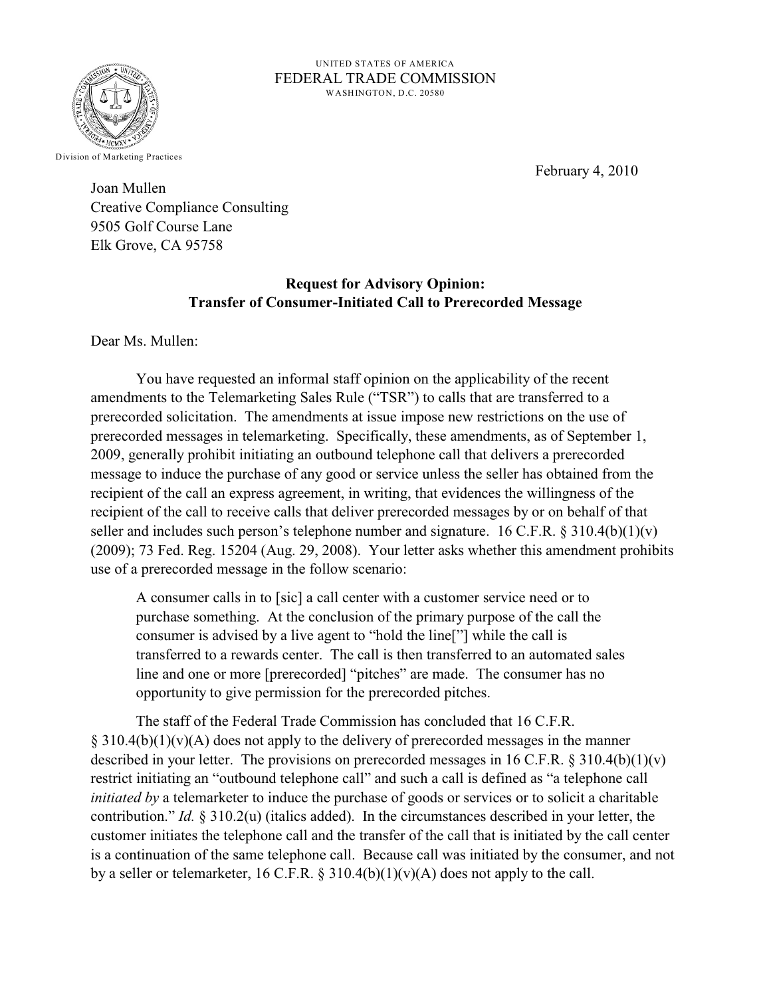

UNITED STATES OF AMERICA FEDERAL TRADE COMMISSION WASHINGTON, D.C. 20580

February 4, 2010

Joan Mullen Creative Compliance Consulting 9505 Golf Course Lane Elk Grove, CA 95758

## **Request for Advisory Opinion: Transfer of Consumer-Initiated Call to Prerecorded Message**

Dear Ms. Mullen:

You have requested an informal staff opinion on the applicability of the recent amendments to the Telemarketing Sales Rule ("TSR") to calls that are transferred to a prerecorded solicitation. The amendments at issue impose new restrictions on the use of prerecorded messages in telemarketing. Specifically, these amendments, as of September 1, 2009, generally prohibit initiating an outbound telephone call that delivers a prerecorded message to induce the purchase of any good or service unless the seller has obtained from the recipient of the call an express agreement, in writing, that evidences the willingness of the recipient of the call to receive calls that deliver prerecorded messages by or on behalf of that seller and includes such person's telephone number and signature. 16 C.F.R.  $\S 310.4(b)(1)(v)$ (2009); 73 Fed. Reg. 15204 (Aug. 29, 2008). Your letter asks whether this amendment prohibits use of a prerecorded message in the follow scenario:

A consumer calls in to [sic] a call center with a customer service need or to purchase something. At the conclusion of the primary purpose of the call the consumer is advised by a live agent to "hold the line["] while the call is transferred to a rewards center. The call is then transferred to an automated sales line and one or more [prerecorded] "pitches" are made. The consumer has no opportunity to give permission for the prerecorded pitches.

The staff of the Federal Trade Commission has concluded that 16 C.F.R.  $\S$  310.4(b)(1)(v)(A) does not apply to the delivery of prerecorded messages in the manner described in your letter. The provisions on prerecorded messages in 16 C.F.R.  $\S 310.4(b)(1)(v)$ restrict initiating an "outbound telephone call" and such a call is defined as "a telephone call *initiated by* a telemarketer to induce the purchase of goods or services or to solicit a charitable contribution." *Id.* § 310.2(u) (italics added). In the circumstances described in your letter, the customer initiates the telephone call and the transfer of the call that is initiated by the call center is a continuation of the same telephone call. Because call was initiated by the consumer, and not by a seller or telemarketer, 16 C.F.R. § 310.4(b)(1)(v)(A) does not apply to the call.